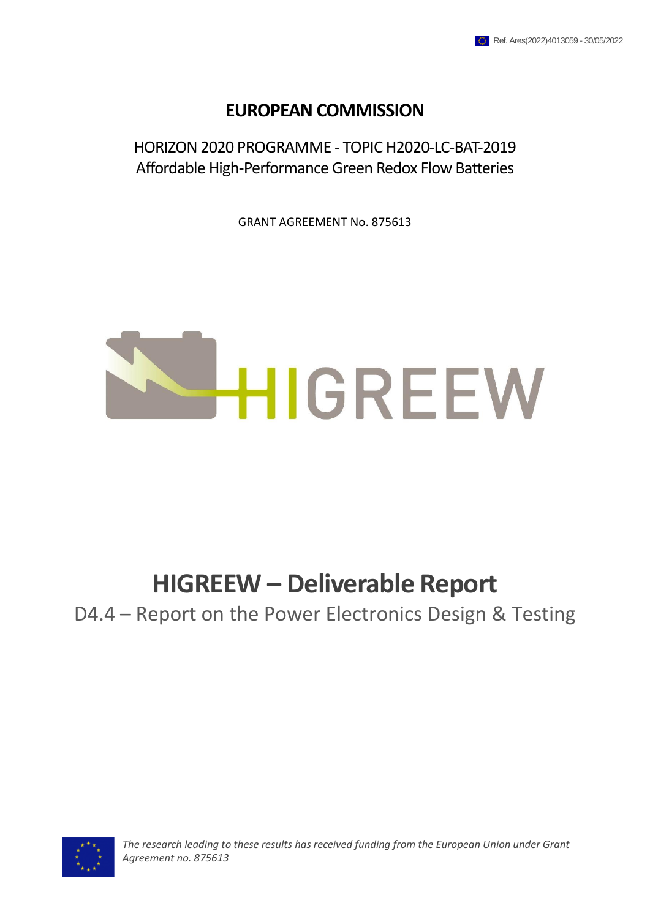## **EUROPEAN COMMISSION**

HORIZON 2020 PROGRAMME - TOPIC H2020-LC-BAT-2019 Affordable High-Performance Green Redox Flow Batteries

GRANT AGREEMENT No. 875613



## **HIGREEW – Deliverable Report**

D4.4 – Report on the Power Electronics Design & Testing



*The research leading to these results has received funding from the European Union under Grant Agreement no. 875613*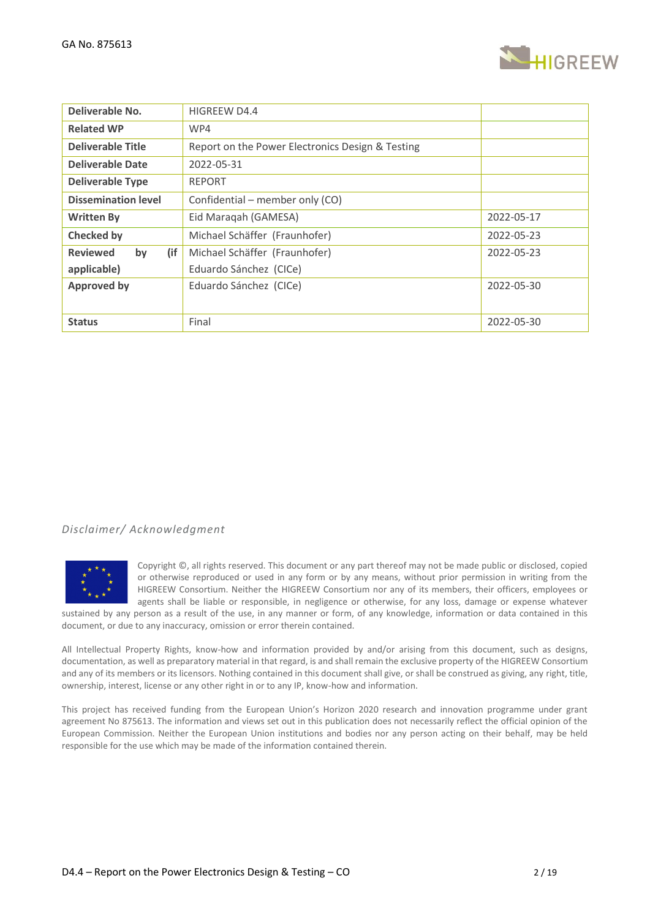

| Deliverable No.              | HIGREEW D4.4                                     |            |
|------------------------------|--------------------------------------------------|------------|
| <b>Related WP</b>            | WP4                                              |            |
| <b>Deliverable Title</b>     | Report on the Power Electronics Design & Testing |            |
| Deliverable Date             | 2022-05-31                                       |            |
| <b>Deliverable Type</b>      | <b>REPORT</b>                                    |            |
| <b>Dissemination level</b>   | Confidential – member only (CO)                  |            |
| <b>Written By</b>            | Eid Maraqah (GAMESA)                             | 2022-05-17 |
| <b>Checked by</b>            | Michael Schäffer (Fraunhofer)                    | 2022-05-23 |
| (if<br><b>Reviewed</b><br>by | Michael Schäffer (Fraunhofer)                    | 2022-05-23 |
| applicable)                  | Eduardo Sánchez (CICe)                           |            |
| <b>Approved by</b>           | Eduardo Sánchez (CICe)                           | 2022-05-30 |
|                              |                                                  |            |
| <b>Status</b>                | Final                                            | 2022-05-30 |

## *Disclaimer/ Acknowledgment*



Copyright ©, all rights reserved. This document or any part thereof may not be made public or disclosed, copied or otherwise reproduced or used in any form or by any means, without prior permission in writing from the HIGREEW Consortium. Neither the HIGREEW Consortium nor any of its members, their officers, employees or agents shall be liable or responsible, in negligence or otherwise, for any loss, damage or expense whatever

sustained by any person as a result of the use, in any manner or form, of any knowledge, information or data contained in this document, or due to any inaccuracy, omission or error therein contained.

All Intellectual Property Rights, know-how and information provided by and/or arising from this document, such as designs, documentation, as well as preparatory material in that regard, is and shall remain the exclusive property of the HIGREEW Consortium and any of its members or its licensors. Nothing contained in this document shall give, or shall be construed as giving, any right, title, ownership, interest, license or any other right in or to any IP, know-how and information.

This project has received funding from the European Union's Horizon 2020 research and innovation programme under grant agreement No 875613. The information and views set out in this publication does not necessarily reflect the official opinion of the European Commission. Neither the European Union institutions and bodies nor any person acting on their behalf, may be held responsible for the use which may be made of the information contained therein.